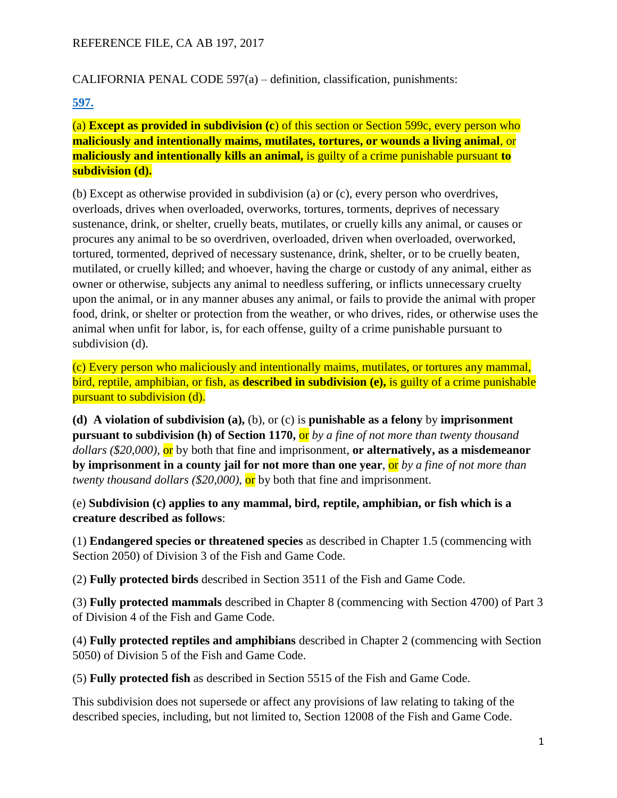## REFERENCE FILE, CA AB 197, 2017

## CALIFORNIA PENAL CODE 597(a) – definition, classification, punishments:

## **[597.](javascript:submitCodesValues()**

(a) **Except as provided in subdivision (c**) of this section or Section 599c, every person who **maliciously and intentionally maims, mutilates, tortures, or wounds a living animal**, or **maliciously and intentionally kills an animal,** is guilty of a crime punishable pursuant **to subdivision (d).**

(b) Except as otherwise provided in subdivision (a) or (c), every person who overdrives, overloads, drives when overloaded, overworks, tortures, torments, deprives of necessary sustenance, drink, or shelter, cruelly beats, mutilates, or cruelly kills any animal, or causes or procures any animal to be so overdriven, overloaded, driven when overloaded, overworked, tortured, tormented, deprived of necessary sustenance, drink, shelter, or to be cruelly beaten, mutilated, or cruelly killed; and whoever, having the charge or custody of any animal, either as owner or otherwise, subjects any animal to needless suffering, or inflicts unnecessary cruelty upon the animal, or in any manner abuses any animal, or fails to provide the animal with proper food, drink, or shelter or protection from the weather, or who drives, rides, or otherwise uses the animal when unfit for labor, is, for each offense, guilty of a crime punishable pursuant to subdivision (d).

(c) Every person who maliciously and intentionally maims, mutilates, or tortures any mammal, bird, reptile, amphibian, or fish, as **described in subdivision (e),** is guilty of a crime punishable pursuant to subdivision (d).

**(d) A violation of subdivision (a),** (b), or (c) is **punishable as a felony** by **imprisonment pursuant to subdivision (h) of Section 1170,** or *by a fine of not more than twenty thousand dollars (\$20,000)*, or by both that fine and imprisonment, **or alternatively, as a misdemeanor by imprisonment in a county jail for not more than one year**, or *by a fine of not more than twenty thousand dollars (\$20,000)*, or by both that fine and imprisonment.

(e) **Subdivision (c) applies to any mammal, bird, reptile, amphibian, or fish which is a creature described as follows**:

(1) **Endangered species or threatened species** as described in Chapter 1.5 (commencing with Section 2050) of Division 3 of the Fish and Game Code.

(2) **Fully protected birds** described in Section 3511 of the Fish and Game Code.

(3) **Fully protected mammals** described in Chapter 8 (commencing with Section 4700) of Part 3 of Division 4 of the Fish and Game Code.

(4) **Fully protected reptiles and amphibians** described in Chapter 2 (commencing with Section 5050) of Division 5 of the Fish and Game Code.

(5) **Fully protected fish** as described in Section 5515 of the Fish and Game Code.

This subdivision does not supersede or affect any provisions of law relating to taking of the described species, including, but not limited to, Section 12008 of the Fish and Game Code.